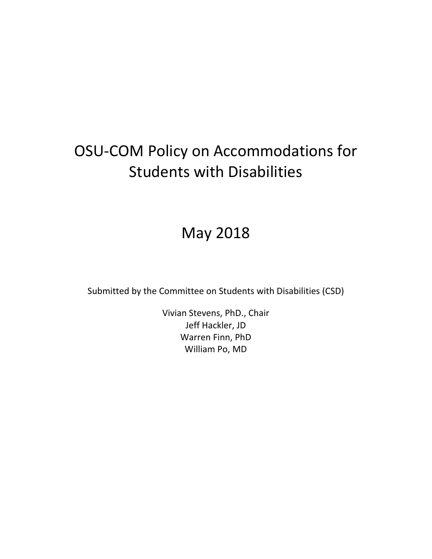# OSU-COM Policy on Accommodations for Students with Disabilities

# May 2018

Submitted by the Committee on Students with Disabilities (CSD)

Vivian Stevens, PhD., Chair Jeff Hackler, JD Warren Finn, PhD William Po, MD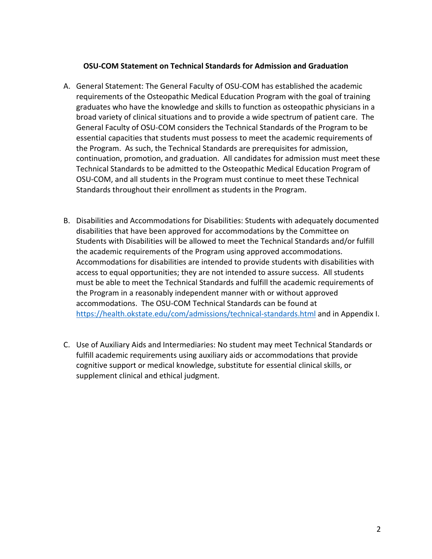#### **OSU-COM Statement on Technical Standards for Admission and Graduation**

- A. General Statement: The General Faculty of OSU-COM has established the academic requirements of the Osteopathic Medical Education Program with the goal of training graduates who have the knowledge and skills to function as osteopathic physicians in a broad variety of clinical situations and to provide a wide spectrum of patient care. The General Faculty of OSU-COM considers the Technical Standards of the Program to be essential capacities that students must possess to meet the academic requirements of the Program. As such, the Technical Standards are prerequisites for admission, continuation, promotion, and graduation. All candidates for admission must meet these Technical Standards to be admitted to the Osteopathic Medical Education Program of OSU-COM, and all students in the Program must continue to meet these Technical Standards throughout their enrollment as students in the Program.
- B. Disabilities and Accommodations for Disabilities: Students with adequately documented disabilities that have been approved for accommodations by the Committee on Students with Disabilities will be allowed to meet the Technical Standards and/or fulfill the academic requirements of the Program using approved accommodations. Accommodations for disabilities are intended to provide students with disabilities with access to equal opportunities; they are not intended to assure success. All students must be able to meet the Technical Standards and fulfill the academic requirements of the Program in a reasonably independent manner with or without approved accommodations. The OSU-COM Technical Standards can be found at <https://health.okstate.edu/com/admissions/technical-standards.html> and in Appendix I.
- C. Use of Auxiliary Aids and Intermediaries: No student may meet Technical Standards or fulfill academic requirements using auxiliary aids or accommodations that provide cognitive support or medical knowledge, substitute for essential clinical skills, or supplement clinical and ethical judgment.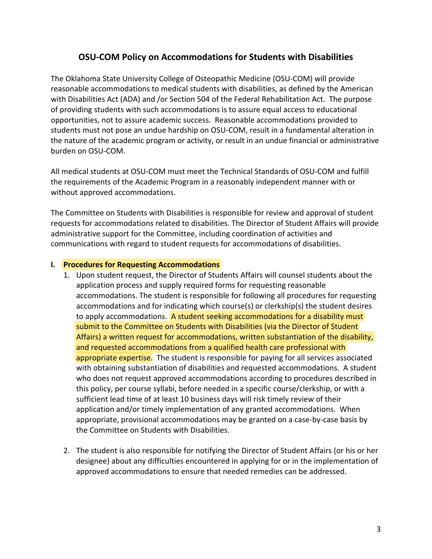## **OSU-COM Policy on Accommodations for Students with Disabilities**

The Oklahoma State University College of Osteopathic Medicine (OSU-COM) will provide reasonable accommodations to medical students with disabilities, as defined by the American with Disabilities Act (ADA) and /or Section 504 of the Federal Rehabilitation Act. The purpose of providing students with such accommodations is to assure equal access to educational opportunities, not to assure academic success. Reasonable accommodations provided to students must not pose an undue hardship on OSU-COM, result in a fundamental alteration in the nature of the academic program or activity, or result in an undue financial or administrative burden on OSU-COM.

All medical students at OSU-COM must meet the Technical Standards of OSU-COM and fulfill the requirements of the Academic Program in a reasonably independent manner with or without approved accommodations.

The Committee on Students with Disabilities is responsible for review and approval of student requests for accommodations related to disabilities. The Director of Student Affairs will provide administrative support for the Committee, including coordination of activities and communications with regard to student requests for accommodations of disabilities.

#### **I. Procedures for Requesting Accommodations**

- 1. Upon student request, the Director of Students Affairs will counsel students about the application process and supply required forms for requesting reasonable accommodations. The student is responsible for following all procedures for requesting accommodations and for indicating which course(s) or clerkship(s) the student desires to apply accommodations. A student seeking accommodations for a disability must submit to the Committee on Students with Disabilities (via the Director of Student Affairs) a written request for accommodations, written substantiation of the disability, and requested accommodations from a qualified health care professional with appropriate expertise. The student is responsible for paying for all services associated with obtaining substantiation of disabilities and requested accommodations. A student who does not request approved accommodations according to procedures described in this policy, per course syllabi, before needed in a specific course/clerkship, or with a sufficient lead time of at least 10 business days will risk timely review of their application and/or timely implementation of any granted accommodations. When appropriate, provisional accommodations may be granted on a case-by-case basis by the Committee on Students with Disabilities.
- 2. The student is also responsible for notifying the Director of Student Affairs (or his or her designee) about any difficulties encountered in applying for or in the implementation of approved accommodations to ensure that needed remedies can be addressed.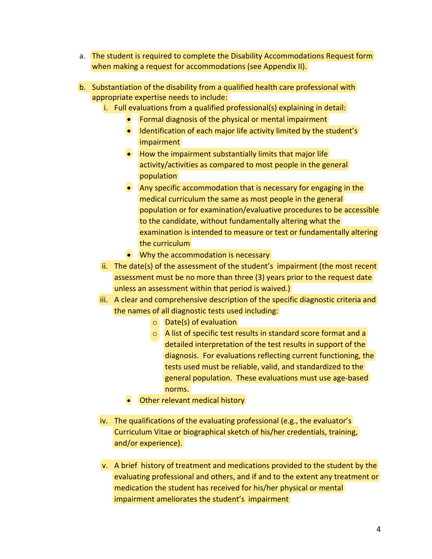- a. The student is required to complete the Disability Accommodations Request form when making a request for accommodations (see Appendix II).
- b. Substantiation of the disability from a qualified health care professional with appropriate expertise needs to include:
	- i. Full evaluations from a qualified professional(s) explaining in detail:
		- Formal diagnosis of the physical or mental impairment
		- Identification of each major life activity limited by the student's impairment
		- How the impairment substantially limits that major life activity/activities as compared to most people in the general population
		- Any specific accommodation that is necessary for engaging in the medical curriculum the same as most people in the general population or for examination/evaluative procedures to be accessible to the candidate, without fundamentally altering what the examination is intended to measure or test or fundamentally altering the curriculum
		- Why the accommodation is necessary
	- ii. The date(s) of the assessment of the student's impairment (the most recent assessment must be no more than three (3) years prior to the request date unless an assessment within that period is waived.)
	- iii. A clear and comprehensive description of the specific diagnostic criteria and the names of all diagnostic tests used including:
		- o Date(s) of evaluation
		- o A list of specific test results in standard score format and a detailed interpretation of the test results in support of the diagnosis. For evaluations reflecting current functioning, the tests used must be reliable, valid, and standardized to the general population. These evaluations must use age-based norms.
		- Other relevant medical history
	- iv. The qualifications of the evaluating professional (e.g., the evaluator's Curriculum Vitae or biographical sketch of his/her credentials, training, and/or experience).
	- v. A brief history of treatment and medications provided to the student by the evaluating professional and others, and if and to the extent any treatment or medication the student has received for his/her physical or mental impairment ameliorates the student's impairment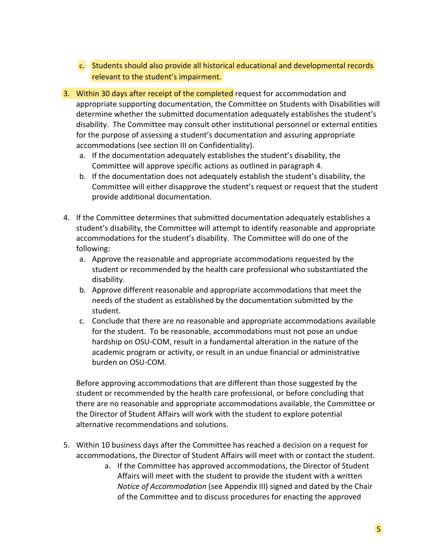- c. Students should also provide all historical educational and developmental records relevant to the student's impairment.
- 3. Within 30 days after receipt of the completed request for accommodation and appropriate supporting documentation, the Committee on Students with Disabilities will determine whether the submitted documentation adequately establishes the student's disability. The Committee may consult other institutional personnel or external entities for the purpose of assessing a student's documentation and assuring appropriate accommodations (see section III on Confidentiality).
	- a. If the documentation adequately establishes the student's disability, the Committee will approve specific actions as outlined in paragraph 4.
	- b. If the documentation does not adequately establish the student's disability, the Committee will either disapprove the student's request or request that the student provide additional documentation.
- 4. If the Committee determines that submitted documentation adequately establishes a student's disability, the Committee will attempt to identify reasonable and appropriate accommodations for the student's disability. The Committee will do one of the following:
	- a. Approve the reasonable and appropriate accommodations requested by the student or recommended by the health care professional who substantiated the disability.
	- b. Approve different reasonable and appropriate accommodations that meet the needs of the student as established by the documentation submitted by the student.
	- c. Conclude that there are no reasonable and appropriate accommodations available for the student. To be reasonable, accommodations must not pose an undue hardship on OSU-COM, result in a fundamental alteration in the nature of the academic program or activity, or result in an undue financial or administrative burden on OSU-COM.

Before approving accommodations that are different than those suggested by the student or recommended by the health care professional, or before concluding that there are no reasonable and appropriate accommodations available, the Committee or the Director of Student Affairs will work with the student to explore potential alternative recommendations and solutions.

- 5. Within 10 business days after the Committee has reached a decision on a request for accommodations, the Director of Student Affairs will meet with or contact the student.
	- a. If the Committee has approved accommodations, the Director of Student Affairs will meet with the student to provide the student with a written *Notice of Accommodation* (see Appendix III) signed and dated by the Chair of the Committee and to discuss procedures for enacting the approved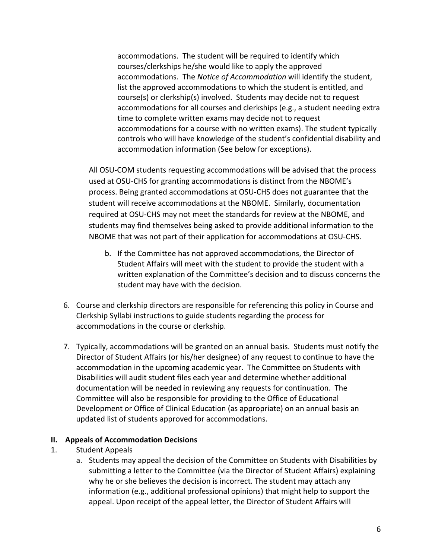accommodations. The student will be required to identify which courses/clerkships he/she would like to apply the approved accommodations. The *Notice of Accommodation* will identify the student, list the approved accommodations to which the student is entitled, and course(s) or clerkship(s) involved. Students may decide not to request accommodations for all courses and clerkships (e.g., a student needing extra time to complete written exams may decide not to request accommodations for a course with no written exams). The student typically controls who will have knowledge of the student's confidential disability and accommodation information (See below for exceptions).

All OSU-COM students requesting accommodations will be advised that the process used at OSU-CHS for granting accommodations is distinct from the NBOME's process. Being granted accommodations at OSU-CHS does not guarantee that the student will receive accommodations at the NBOME. Similarly, documentation required at OSU-CHS may not meet the standards for review at the NBOME, and students may find themselves being asked to provide additional information to the NBOME that was not part of their application for accommodations at OSU-CHS.

- b. If the Committee has not approved accommodations, the Director of Student Affairs will meet with the student to provide the student with a written explanation of the Committee's decision and to discuss concerns the student may have with the decision.
- 6. Course and clerkship directors are responsible for referencing this policy in Course and Clerkship Syllabi instructions to guide students regarding the process for accommodations in the course or clerkship.
- 7. Typically, accommodations will be granted on an annual basis. Students must notify the Director of Student Affairs (or his/her designee) of any request to continue to have the accommodation in the upcoming academic year. The Committee on Students with Disabilities will audit student files each year and determine whether additional documentation will be needed in reviewing any requests for continuation. The Committee will also be responsible for providing to the Office of Educational Development or Office of Clinical Education (as appropriate) on an annual basis an updated list of students approved for accommodations.

#### **II. Appeals of Accommodation Decisions**

- 1. Student Appeals
	- a. Students may appeal the decision of the Committee on Students with Disabilities by submitting a letter to the Committee (via the Director of Student Affairs) explaining why he or she believes the decision is incorrect. The student may attach any information (e.g., additional professional opinions) that might help to support the appeal. Upon receipt of the appeal letter, the Director of Student Affairs will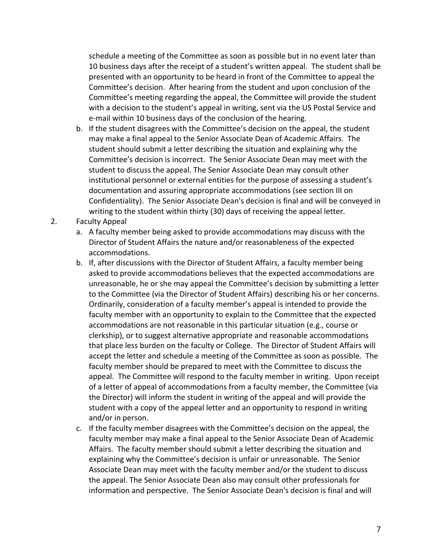schedule a meeting of the Committee as soon as possible but in no event later than 10 business days after the receipt of a student's written appeal. The student shall be presented with an opportunity to be heard in front of the Committee to appeal the Committee's decision. After hearing from the student and upon conclusion of the Committee's meeting regarding the appeal, the Committee will provide the student with a decision to the student's appeal in writing, sent via the US Postal Service and e-mail within 10 business days of the conclusion of the hearing.

- b. If the student disagrees with the Committee's decision on the appeal, the student may make a final appeal to the Senior Associate Dean of Academic Affairs. The student should submit a letter describing the situation and explaining why the Committee's decision is incorrect. The Senior Associate Dean may meet with the student to discuss the appeal. The Senior Associate Dean may consult other institutional personnel or external entities for the purpose of assessing a student's documentation and assuring appropriate accommodations (see section III on Confidentiality). The Senior Associate Dean's decision is final and will be conveyed in writing to the student within thirty (30) days of receiving the appeal letter.
- 2. Faculty Appeal
	- a. A faculty member being asked to provide accommodations may discuss with the Director of Student Affairs the nature and/or reasonableness of the expected accommodations.
	- b. If, after discussions with the Director of Student Affairs, a faculty member being asked to provide accommodations believes that the expected accommodations are unreasonable, he or she may appeal the Committee's decision by submitting a letter to the Committee (via the Director of Student Affairs) describing his or her concerns. Ordinarily, consideration of a faculty member's appeal is intended to provide the faculty member with an opportunity to explain to the Committee that the expected accommodations are not reasonable in this particular situation (e.g., course or clerkship), or to suggest alternative appropriate and reasonable accommodations that place less burden on the faculty or College. The Director of Student Affairs will accept the letter and schedule a meeting of the Committee as soon as possible. The faculty member should be prepared to meet with the Committee to discuss the appeal. The Committee will respond to the faculty member in writing. Upon receipt of a letter of appeal of accommodations from a faculty member, the Committee (via the Director) will inform the student in writing of the appeal and will provide the student with a copy of the appeal letter and an opportunity to respond in writing and/or in person.
	- c. If the faculty member disagrees with the Committee's decision on the appeal, the faculty member may make a final appeal to the Senior Associate Dean of Academic Affairs. The faculty member should submit a letter describing the situation and explaining why the Committee's decision is unfair or unreasonable. The Senior Associate Dean may meet with the faculty member and/or the student to discuss the appeal. The Senior Associate Dean also may consult other professionals for information and perspective. The Senior Associate Dean's decision is final and will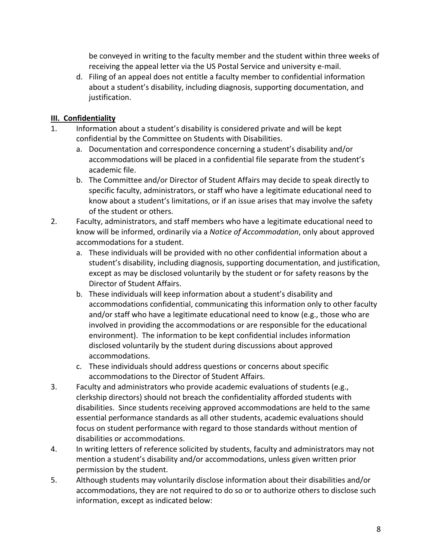be conveyed in writing to the faculty member and the student within three weeks of receiving the appeal letter via the US Postal Service and university e-mail.

d. Filing of an appeal does not entitle a faculty member to confidential information about a student's disability, including diagnosis, supporting documentation, and justification.

### **III. Confidentiality**

- 1. Information about a student's disability is considered private and will be kept confidential by the Committee on Students with Disabilities.
	- a. Documentation and correspondence concerning a student's disability and/or accommodations will be placed in a confidential file separate from the student's academic file.
	- b. The Committee and/or Director of Student Affairs may decide to speak directly to specific faculty, administrators, or staff who have a legitimate educational need to know about a student's limitations, or if an issue arises that may involve the safety of the student or others.
- 2. Faculty, administrators, and staff members who have a legitimate educational need to know will be informed, ordinarily via a *Notice of Accommodation*, only about approved accommodations for a student.
	- a. These individuals will be provided with no other confidential information about a student's disability, including diagnosis, supporting documentation, and justification, except as may be disclosed voluntarily by the student or for safety reasons by the Director of Student Affairs.
	- b. These individuals will keep information about a student's disability and accommodations confidential, communicating this information only to other faculty and/or staff who have a legitimate educational need to know (e.g., those who are involved in providing the accommodations or are responsible for the educational environment). The information to be kept confidential includes information disclosed voluntarily by the student during discussions about approved accommodations.
	- c. These individuals should address questions or concerns about specific accommodations to the Director of Student Affairs.
- 3. Faculty and administrators who provide academic evaluations of students (e.g., clerkship directors) should not breach the confidentiality afforded students with disabilities. Since students receiving approved accommodations are held to the same essential performance standards as all other students, academic evaluations should focus on student performance with regard to those standards without mention of disabilities or accommodations.
- 4. In writing letters of reference solicited by students, faculty and administrators may not mention a student's disability and/or accommodations, unless given written prior permission by the student.
- 5. Although students may voluntarily disclose information about their disabilities and/or accommodations, they are not required to do so or to authorize others to disclose such information, except as indicated below: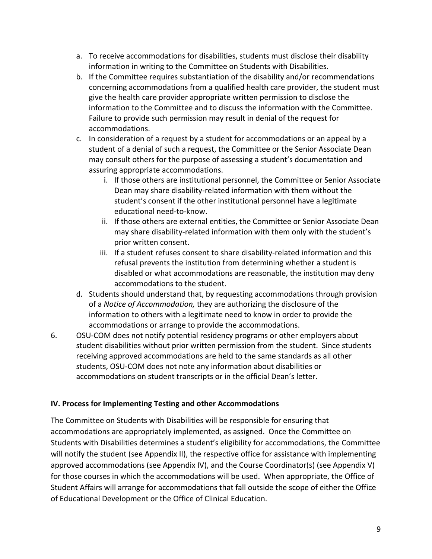- a. To receive accommodations for disabilities, students must disclose their disability information in writing to the Committee on Students with Disabilities.
- b. If the Committee requires substantiation of the disability and/or recommendations concerning accommodations from a qualified health care provider, the student must give the health care provider appropriate written permission to disclose the information to the Committee and to discuss the information with the Committee. Failure to provide such permission may result in denial of the request for accommodations.
- c. In consideration of a request by a student for accommodations or an appeal by a student of a denial of such a request, the Committee or the Senior Associate Dean may consult others for the purpose of assessing a student's documentation and assuring appropriate accommodations.
	- i. If those others are institutional personnel, the Committee or Senior Associate Dean may share disability-related information with them without the student's consent if the other institutional personnel have a legitimate educational need-to-know.
	- ii. If those others are external entities, the Committee or Senior Associate Dean may share disability-related information with them only with the student's prior written consent.
	- iii. If a student refuses consent to share disability-related information and this refusal prevents the institution from determining whether a student is disabled or what accommodations are reasonable, the institution may deny accommodations to the student.
- d. Students should understand that, by requesting accommodations through provision of a *Notice of Accommodation,* they are authorizing the disclosure of the information to others with a legitimate need to know in order to provide the accommodations or arrange to provide the accommodations.
- 6. OSU-COM does not notify potential residency programs or other employers about student disabilities without prior written permission from the student. Since students receiving approved accommodations are held to the same standards as all other students, OSU-COM does not note any information about disabilities or accommodations on student transcripts or in the official Dean's letter.

### **IV. Process for Implementing Testing and other Accommodations**

The Committee on Students with Disabilities will be responsible for ensuring that accommodations are appropriately implemented, as assigned. Once the Committee on Students with Disabilities determines a student's eligibility for accommodations, the Committee will notify the student (see Appendix II), the respective office for assistance with implementing approved accommodations (see Appendix IV), and the Course Coordinator(s) (see Appendix V) for those courses in which the accommodations will be used. When appropriate, the Office of Student Affairs will arrange for accommodations that fall outside the scope of either the Office of Educational Development or the Office of Clinical Education.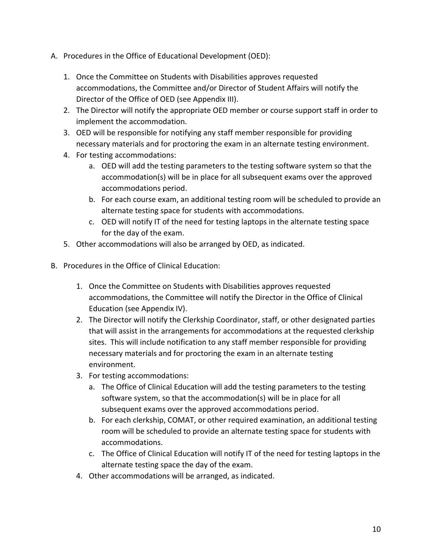- A. Procedures in the Office of Educational Development (OED):
	- 1. Once the Committee on Students with Disabilities approves requested accommodations, the Committee and/or Director of Student Affairs will notify the Director of the Office of OED (see Appendix III).
	- 2. The Director will notify the appropriate OED member or course support staff in order to implement the accommodation.
	- 3. OED will be responsible for notifying any staff member responsible for providing necessary materials and for proctoring the exam in an alternate testing environment.
	- 4. For testing accommodations:
		- a. OED will add the testing parameters to the testing software system so that the accommodation(s) will be in place for all subsequent exams over the approved accommodations period.
		- b. For each course exam, an additional testing room will be scheduled to provide an alternate testing space for students with accommodations.
		- c. OED will notify IT of the need for testing laptops in the alternate testing space for the day of the exam.
	- 5. Other accommodations will also be arranged by OED, as indicated.
- B. Procedures in the Office of Clinical Education:
	- 1. Once the Committee on Students with Disabilities approves requested accommodations, the Committee will notify the Director in the Office of Clinical Education (see Appendix IV).
	- 2. The Director will notify the Clerkship Coordinator, staff, or other designated parties that will assist in the arrangements for accommodations at the requested clerkship sites. This will include notification to any staff member responsible for providing necessary materials and for proctoring the exam in an alternate testing environment.
	- 3. For testing accommodations:
		- a. The Office of Clinical Education will add the testing parameters to the testing software system, so that the accommodation(s) will be in place for all subsequent exams over the approved accommodations period.
		- b. For each clerkship, COMAT, or other required examination, an additional testing room will be scheduled to provide an alternate testing space for students with accommodations.
		- c. The Office of Clinical Education will notify IT of the need for testing laptops in the alternate testing space the day of the exam.
	- 4. Other accommodations will be arranged, as indicated.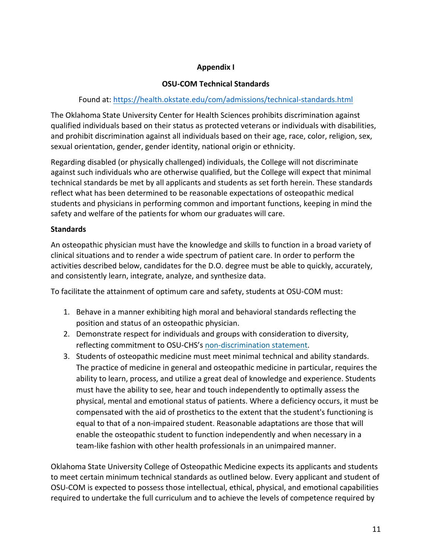#### **Appendix I**

#### **OSU-COM Technical Standards**

#### Found at: <https://health.okstate.edu/com/admissions/technical-standards.html>

The Oklahoma State University Center for Health Sciences prohibits discrimination against qualified individuals based on their status as protected veterans or individuals with disabilities, and prohibit discrimination against all individuals based on their age, race, color, religion, sex, sexual orientation, gender, gender identity, national origin or ethnicity.

Regarding disabled (or physically challenged) individuals, the College will not discriminate against such individuals who are otherwise qualified, but the College will expect that minimal technical standards be met by all applicants and students as set forth herein. These standards reflect what has been determined to be reasonable expectations of osteopathic medical students and physicians in performing common and important functions, keeping in mind the safety and welfare of the patients for whom our graduates will care.

#### **Standards**

An osteopathic physician must have the knowledge and skills to function in a broad variety of clinical situations and to render a wide spectrum of patient care. In order to perform the activities described below, candidates for the D.O. degree must be able to quickly, accurately, and consistently learn, integrate, analyze, and synthesize data.

To facilitate the attainment of optimum care and safety, students at OSU-COM must:

- 1. Behave in a manner exhibiting high moral and behavioral standards reflecting the position and status of an osteopathic physician.
- 2. Demonstrate respect for individuals and groups with consideration to diversity, reflecting commitment to OSU-CHS's [non-discrimination statement.](https://health.okstate.edu/about/index.html)
- 3. Students of osteopathic medicine must meet minimal technical and ability standards. The practice of medicine in general and osteopathic medicine in particular, requires the ability to learn, process, and utilize a great deal of knowledge and experience. Students must have the ability to see, hear and touch independently to optimally assess the physical, mental and emotional status of patients. Where a deficiency occurs, it must be compensated with the aid of prosthetics to the extent that the student's functioning is equal to that of a non-impaired student. Reasonable adaptations are those that will enable the osteopathic student to function independently and when necessary in a team-like fashion with other health professionals in an unimpaired manner.

Oklahoma State University College of Osteopathic Medicine expects its applicants and students to meet certain minimum technical standards as outlined below. Every applicant and student of OSU-COM is expected to possess those intellectual, ethical, physical, and emotional capabilities required to undertake the full curriculum and to achieve the levels of competence required by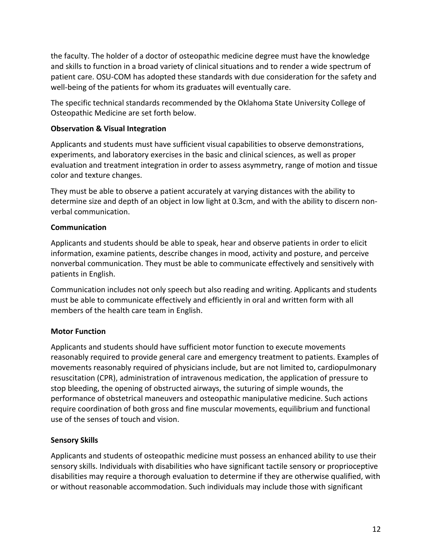the faculty. The holder of a doctor of osteopathic medicine degree must have the knowledge and skills to function in a broad variety of clinical situations and to render a wide spectrum of patient care. OSU-COM has adopted these standards with due consideration for the safety and well-being of the patients for whom its graduates will eventually care.

The specific technical standards recommended by the Oklahoma State University College of Osteopathic Medicine are set forth below.

#### **Observation & Visual Integration**

Applicants and students must have sufficient visual capabilities to observe demonstrations, experiments, and laboratory exercises in the basic and clinical sciences, as well as proper evaluation and treatment integration in order to assess asymmetry, range of motion and tissue color and texture changes.

They must be able to observe a patient accurately at varying distances with the ability to determine size and depth of an object in low light at 0.3cm, and with the ability to discern nonverbal communication.

#### **Communication**

Applicants and students should be able to speak, hear and observe patients in order to elicit information, examine patients, describe changes in mood, activity and posture, and perceive nonverbal communication. They must be able to communicate effectively and sensitively with patients in English.

Communication includes not only speech but also reading and writing. Applicants and students must be able to communicate effectively and efficiently in oral and written form with all members of the health care team in English.

### **Motor Function**

Applicants and students should have sufficient motor function to execute movements reasonably required to provide general care and emergency treatment to patients. Examples of movements reasonably required of physicians include, but are not limited to, cardiopulmonary resuscitation (CPR), administration of intravenous medication, the application of pressure to stop bleeding, the opening of obstructed airways, the suturing of simple wounds, the performance of obstetrical maneuvers and osteopathic manipulative medicine. Such actions require coordination of both gross and fine muscular movements, equilibrium and functional use of the senses of touch and vision.

#### **Sensory Skills**

Applicants and students of osteopathic medicine must possess an enhanced ability to use their sensory skills. Individuals with disabilities who have significant tactile sensory or proprioceptive disabilities may require a thorough evaluation to determine if they are otherwise qualified, with or without reasonable accommodation. Such individuals may include those with significant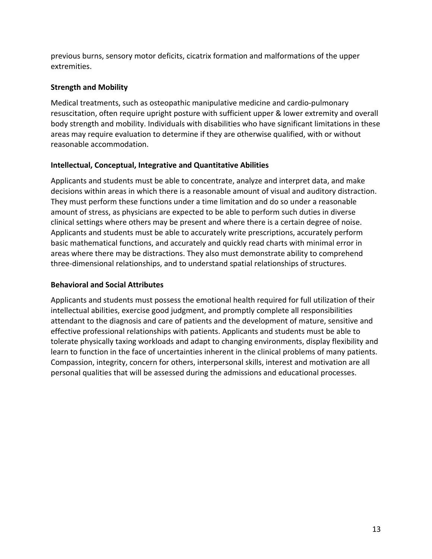previous burns, sensory motor deficits, cicatrix formation and malformations of the upper extremities.

#### **Strength and Mobility**

Medical treatments, such as osteopathic manipulative medicine and cardio-pulmonary resuscitation, often require upright posture with sufficient upper & lower extremity and overall body strength and mobility. Individuals with disabilities who have significant limitations in these areas may require evaluation to determine if they are otherwise qualified, with or without reasonable accommodation.

### **Intellectual, Conceptual, Integrative and Quantitative Abilities**

Applicants and students must be able to concentrate, analyze and interpret data, and make decisions within areas in which there is a reasonable amount of visual and auditory distraction. They must perform these functions under a time limitation and do so under a reasonable amount of stress, as physicians are expected to be able to perform such duties in diverse clinical settings where others may be present and where there is a certain degree of noise. Applicants and students must be able to accurately write prescriptions, accurately perform basic mathematical functions, and accurately and quickly read charts with minimal error in areas where there may be distractions. They also must demonstrate ability to comprehend three-dimensional relationships, and to understand spatial relationships of structures.

#### **Behavioral and Social Attributes**

Applicants and students must possess the emotional health required for full utilization of their intellectual abilities, exercise good judgment, and promptly complete all responsibilities attendant to the diagnosis and care of patients and the development of mature, sensitive and effective professional relationships with patients. Applicants and students must be able to tolerate physically taxing workloads and adapt to changing environments, display flexibility and learn to function in the face of uncertainties inherent in the clinical problems of many patients. Compassion, integrity, concern for others, interpersonal skills, interest and motivation are all personal qualities that will be assessed during the admissions and educational processes.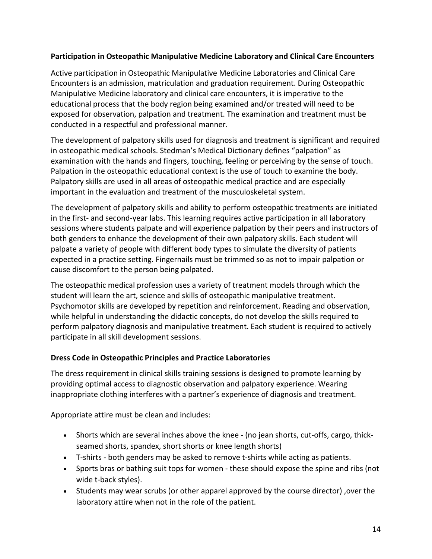#### **Participation in Osteopathic Manipulative Medicine Laboratory and Clinical Care Encounters**

Active participation in Osteopathic Manipulative Medicine Laboratories and Clinical Care Encounters is an admission, matriculation and graduation requirement. During Osteopathic Manipulative Medicine laboratory and clinical care encounters, it is imperative to the educational process that the body region being examined and/or treated will need to be exposed for observation, palpation and treatment. The examination and treatment must be conducted in a respectful and professional manner.

The development of palpatory skills used for diagnosis and treatment is significant and required in osteopathic medical schools. Stedman's Medical Dictionary defines "palpation" as examination with the hands and fingers, touching, feeling or perceiving by the sense of touch. Palpation in the osteopathic educational context is the use of touch to examine the body. Palpatory skills are used in all areas of osteopathic medical practice and are especially important in the evaluation and treatment of the musculoskeletal system.

The development of palpatory skills and ability to perform osteopathic treatments are initiated in the first- and second-year labs. This learning requires active participation in all laboratory sessions where students palpate and will experience palpation by their peers and instructors of both genders to enhance the development of their own palpatory skills. Each student will palpate a variety of people with different body types to simulate the diversity of patients expected in a practice setting. Fingernails must be trimmed so as not to impair palpation or cause discomfort to the person being palpated.

The osteopathic medical profession uses a variety of treatment models through which the student will learn the art, science and skills of osteopathic manipulative treatment. Psychomotor skills are developed by repetition and reinforcement. Reading and observation, while helpful in understanding the didactic concepts, do not develop the skills required to perform palpatory diagnosis and manipulative treatment. Each student is required to actively participate in all skill development sessions.

#### **Dress Code in Osteopathic Principles and Practice Laboratories**

The dress requirement in clinical skills training sessions is designed to promote learning by providing optimal access to diagnostic observation and palpatory experience. Wearing inappropriate clothing interferes with a partner's experience of diagnosis and treatment.

Appropriate attire must be clean and includes:

- Shorts which are several inches above the knee (no jean shorts, cut-offs, cargo, thickseamed shorts, spandex, short shorts or knee length shorts)
- T-shirts both genders may be asked to remove t-shirts while acting as patients.
- Sports bras or bathing suit tops for women these should expose the spine and ribs (not wide t-back styles).
- Students may wear scrubs (or other apparel approved by the course director) ,over the laboratory attire when not in the role of the patient.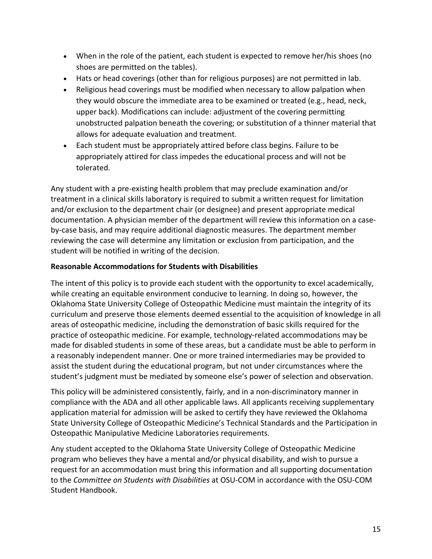- When in the role of the patient, each student is expected to remove her/his shoes (no shoes are permitted on the tables).
- Hats or head coverings (other than for religious purposes) are not permitted in lab.
- Religious head coverings must be modified when necessary to allow palpation when they would obscure the immediate area to be examined or treated (e.g., head, neck, upper back). Modifications can include: adjustment of the covering permitting unobstructed palpation beneath the covering; or substitution of a thinner material that allows for adequate evaluation and treatment.
- Each student must be appropriately attired before class begins. Failure to be appropriately attired for class impedes the educational process and will not be tolerated.

Any student with a pre-existing health problem that may preclude examination and/or treatment in a clinical skills laboratory is required to submit a written request for limitation and/or exclusion to the department chair (or designee) and present appropriate medical documentation. A physician member of the department will review this information on a caseby-case basis, and may require additional diagnostic measures. The department member reviewing the case will determine any limitation or exclusion from participation, and the student will be notified in writing of the decision.

#### **Reasonable Accommodations for Students with Disabilities**

The intent of this policy is to provide each student with the opportunity to excel academically, while creating an equitable environment conducive to learning. In doing so, however, the Oklahoma State University College of Osteopathic Medicine must maintain the integrity of its curriculum and preserve those elements deemed essential to the acquisition of knowledge in all areas of osteopathic medicine, including the demonstration of basic skills required for the practice of osteopathic medicine. For example, technology-related accommodations may be made for disabled students in some of these areas, but a candidate must be able to perform in a reasonably independent manner. One or more trained intermediaries may be provided to assist the student during the educational program, but not under circumstances where the student's judgment must be mediated by someone else's power of selection and observation.

This policy will be administered consistently, fairly, and in a non-discriminatory manner in compliance with the ADA and all other applicable laws. All applicants receiving supplementary application material for admission will be asked to certify they have reviewed the Oklahoma State University College of Osteopathic Medicine's Technical Standards and the Participation in Osteopathic Manipulative Medicine Laboratories requirements.

Any student accepted to the Oklahoma State University College of Osteopathic Medicine program who believes they have a mental and/or physical disability, and wish to pursue a request for an accommodation must bring this information and all supporting documentation to the *Committee on Students with Disabilities* at OSU-COM in accordance with the OSU-COM Student Handbook.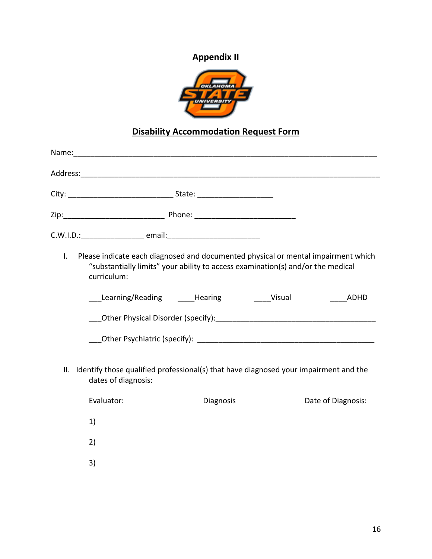# **Appendix II**



# **Disability Accommodation Request Form**

| $\mathsf{L}$ | Please indicate each diagnosed and documented physical or mental impairment which<br>"substantially limits" your ability to access examination(s) and/or the medical<br>curriculum:                                            |           |                    |
|--------------|--------------------------------------------------------------------------------------------------------------------------------------------------------------------------------------------------------------------------------|-----------|--------------------|
|              | Learning/Reading ______Hearing _________________Visual                                                                                                                                                                         |           | ADHD               |
|              | Other Physical Disorder (specify): North and the state of the state of the state of the state of the state of the state of the state of the state of the state of the state of the state of the state of the state of the stat |           |                    |
|              |                                                                                                                                                                                                                                |           |                    |
| II.          | Identify those qualified professional(s) that have diagnosed your impairment and the<br>dates of diagnosis:                                                                                                                    |           |                    |
|              | Evaluator:                                                                                                                                                                                                                     | Diagnosis | Date of Diagnosis: |
|              | 1)                                                                                                                                                                                                                             |           |                    |
|              | 2)                                                                                                                                                                                                                             |           |                    |
|              | 3)                                                                                                                                                                                                                             |           |                    |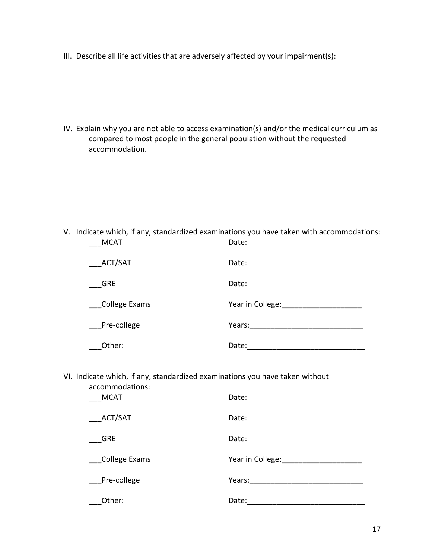III. Describe all life activities that are adversely affected by your impairment(s):

IV. Explain why you are not able to access examination(s) and/or the medical curriculum as compared to most people in the general population without the requested accommodation.

V. Indicate which, if any, standardized examinations you have taken with accommodations: \_\_\_MCAT Date:

| ACT/SAT       | Date:            |
|---------------|------------------|
| <b>GRE</b>    | Date:            |
| College Exams | Year in College: |
| Pre-college   | Years:           |
| Other:        | Date:            |

VI. Indicate which, if any, standardized examinations you have taken without accommodations:

| <b>MCAT</b>   | Date:            |
|---------------|------------------|
| ACT/SAT       | Date:            |
| <b>GRE</b>    | Date:            |
| College Exams | Year in College: |
| Pre-college   | Years:           |
| Other:        | Date:            |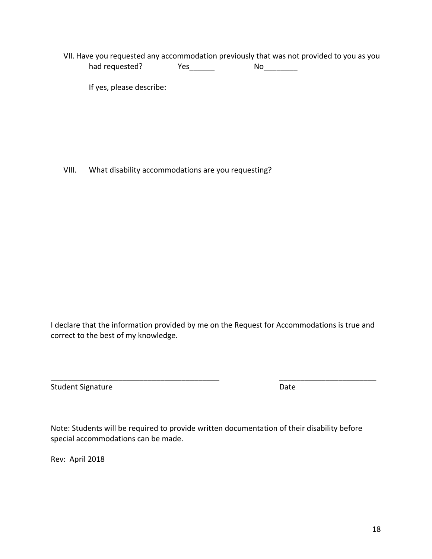VII. Have you requested any accommodation previously that was not provided to you as you had requested? Yes\_\_\_\_\_\_ No\_\_\_\_\_\_\_\_

If yes, please describe:

VIII. What disability accommodations are you requesting?

I declare that the information provided by me on the Request for Accommodations is true and correct to the best of my knowledge.

\_\_\_\_\_\_\_\_\_\_\_\_\_\_\_\_\_\_\_\_\_\_\_\_\_\_\_\_\_\_\_\_\_\_\_\_\_\_\_\_ \_\_\_\_\_\_\_\_\_\_\_\_\_\_\_\_\_\_\_\_\_\_\_

Student Signature Date Date

Note: Students will be required to provide written documentation of their disability before special accommodations can be made.

Rev: April 2018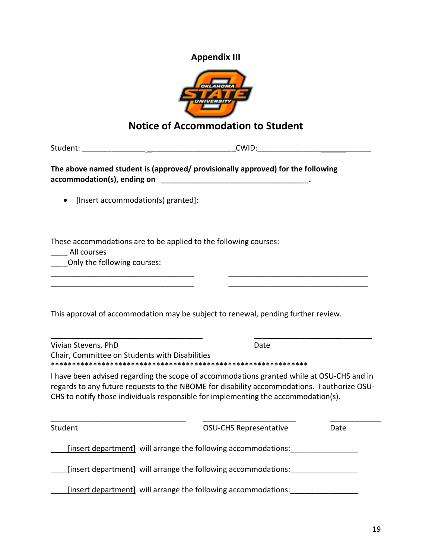## **Appendix III**



# **Notice of Accommodation to Student**

Student: \_\_\_\_\_\_\_\_\_\_\_\_\_\_\_ \_\_\_\_\_\_\_\_\_\_\_\_\_\_\_\_\_\_\_\_\_CWID:\_\_\_\_\_\_\_\_\_\_\_\_\_\_\_\_\_\_\_\_\_\_\_\_\_\_\_

**The above named student is (approved/ provisionally approved) for the following accommodation(s), ending on \_\_\_\_\_\_\_\_\_\_\_\_\_\_\_\_\_\_\_\_\_\_\_\_\_\_\_\_\_\_\_\_\_\_\_.** 

• [Insert accommodation(s) granted]:

These accommodations are to be applied to the following courses:

\_\_\_\_ All courses

\_\_\_\_Only the following courses:

This approval of accommodation may be subject to renewal, pending further review.

\_\_\_\_\_\_\_\_\_\_\_\_\_\_\_\_\_\_\_\_\_\_\_\_\_\_\_\_\_\_\_\_\_\_ \_\_\_\_\_\_\_\_\_\_\_\_\_\_\_\_\_\_\_\_\_\_\_\_\_\_\_\_\_\_\_\_\_

| Vivian Stevens, PhD                            | Date |  |
|------------------------------------------------|------|--|
| Chair, Committee on Students with Disabilities |      |  |
|                                                |      |  |
|                                                |      |  |

I have been advised regarding the scope of accommodations granted while at OSU-CHS and in regards to any future requests to the NBOME for disability accommodations. I authorize OSU-CHS to notify those individuals responsible for implementing the accommodation(s).

| Student | <b>OSU-CHS Representative</b>                                         | Date |
|---------|-----------------------------------------------------------------------|------|
|         | [insert department] will arrange the following accommodations:        |      |
|         | <u>[insert department]</u> will arrange the following accommodations: |      |
|         | [insert department] will arrange the following accommodations:        |      |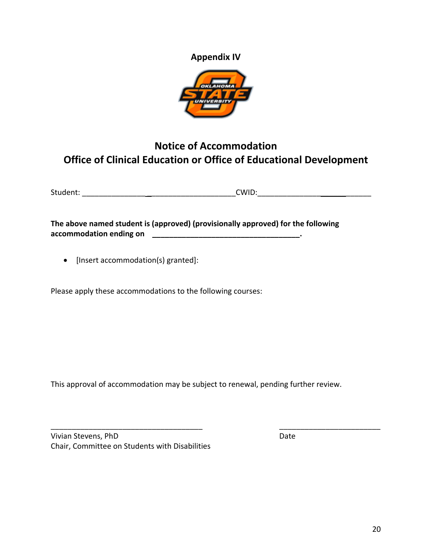**Appendix IV**



# **Notice of Accommodation Office of Clinical Education or Office of Educational Development**

| Student: | <b>CWID</b> |
|----------|-------------|
|          |             |

**The above named student is (approved) (provisionally approved) for the following accommodation ending on \_\_\_\_\_\_\_\_\_\_\_\_\_\_\_\_\_\_\_\_\_\_\_\_\_\_\_\_\_\_\_\_\_\_\_.** 

• [Insert accommodation(s) granted]:

Please apply these accommodations to the following courses:

This approval of accommodation may be subject to renewal, pending further review.

\_\_\_\_\_\_\_\_\_\_\_\_\_\_\_\_\_\_\_\_\_\_\_\_\_\_\_\_\_\_\_\_\_\_\_\_ \_\_\_\_\_\_\_\_\_\_\_\_\_\_\_\_\_\_\_\_\_\_\_\_

Vivian Stevens, PhD Date Chair, Committee on Students with Disabilities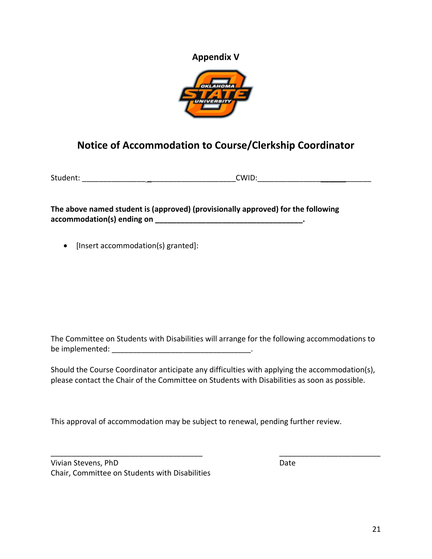## **Appendix V**



# **Notice of Accommodation to Course/Clerkship Coordinator**

Student: \_\_\_\_\_\_\_\_\_\_\_\_\_\_\_ \_\_\_\_\_\_\_\_\_\_\_\_\_\_\_\_\_\_\_\_\_CWID:\_\_\_\_\_\_\_\_\_\_\_\_\_\_\_\_\_\_\_\_\_\_\_\_\_\_\_

**The above named student is (approved) (provisionally approved) for the following accommodation(s) ending on \_\_\_\_\_\_\_\_\_\_\_\_\_\_\_\_\_\_\_\_\_\_\_\_\_\_\_\_\_\_\_\_\_\_\_.** 

• [Insert accommodation(s) granted]:

The Committee on Students with Disabilities will arrange for the following accommodations to be implemented:  $\blacksquare$ 

Should the Course Coordinator anticipate any difficulties with applying the accommodation(s), please contact the Chair of the Committee on Students with Disabilities as soon as possible.

 $\overline{\phantom{a}}$  , and the contract of the contract of the contract of the contract of the contract of the contract of the contract of the contract of the contract of the contract of the contract of the contract of the contrac

This approval of accommodation may be subject to renewal, pending further review.

Vivian Stevens, PhD Date Chair, Committee on Students with Disabilities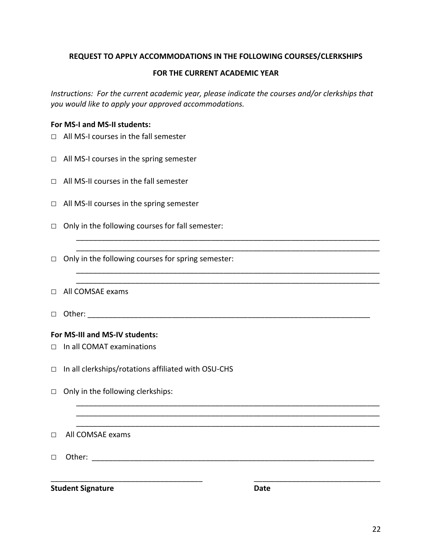#### **REQUEST TO APPLY ACCOMMODATIONS IN THE FOLLOWING COURSES/CLERKSHIPS**

#### **FOR THE CURRENT ACADEMIC YEAR**

*Instructions: For the current academic year, please indicate the courses and/or clerkships that you would like to apply your approved accommodations.* 

\_\_\_\_\_\_\_\_\_\_\_\_\_\_\_\_\_\_\_\_\_\_\_\_\_\_\_\_\_\_\_\_\_\_\_\_\_\_\_\_\_\_\_\_\_\_\_\_\_\_\_\_\_\_\_\_\_\_\_\_\_\_\_\_\_\_\_\_\_\_\_\_ \_\_\_\_\_\_\_\_\_\_\_\_\_\_\_\_\_\_\_\_\_\_\_\_\_\_\_\_\_\_\_\_\_\_\_\_\_\_\_\_\_\_\_\_\_\_\_\_\_\_\_\_\_\_\_\_\_\_\_\_\_\_\_\_\_\_\_\_\_\_\_\_

\_\_\_\_\_\_\_\_\_\_\_\_\_\_\_\_\_\_\_\_\_\_\_\_\_\_\_\_\_\_\_\_\_\_\_\_\_\_\_\_\_\_\_\_\_\_\_\_\_\_\_\_\_\_\_\_\_\_\_\_\_\_\_\_\_\_\_\_\_\_\_\_ \_\_\_\_\_\_\_\_\_\_\_\_\_\_\_\_\_\_\_\_\_\_\_\_\_\_\_\_\_\_\_\_\_\_\_\_\_\_\_\_\_\_\_\_\_\_\_\_\_\_\_\_\_\_\_\_\_\_\_\_\_\_\_\_\_\_\_\_\_\_\_\_

\_\_\_\_\_\_\_\_\_\_\_\_\_\_\_\_\_\_\_\_\_\_\_\_\_\_\_\_\_\_\_\_\_\_\_\_\_\_\_\_\_\_\_\_\_\_\_\_\_\_\_\_\_\_\_\_\_\_\_\_\_\_\_\_\_\_\_\_\_\_\_\_ \_\_\_\_\_\_\_\_\_\_\_\_\_\_\_\_\_\_\_\_\_\_\_\_\_\_\_\_\_\_\_\_\_\_\_\_\_\_\_\_\_\_\_\_\_\_\_\_\_\_\_\_\_\_\_\_\_\_\_\_\_\_\_\_\_\_\_\_\_\_\_\_ \_\_\_\_\_\_\_\_\_\_\_\_\_\_\_\_\_\_\_\_\_\_\_\_\_\_\_\_\_\_\_\_\_\_\_\_\_\_\_\_\_\_\_\_\_\_\_\_\_\_\_\_\_\_\_\_\_\_\_\_\_\_\_\_\_\_\_\_\_\_\_\_

\_\_\_\_\_\_\_\_\_\_\_\_\_\_\_\_\_\_\_\_\_\_\_\_\_\_\_\_\_\_\_\_\_\_\_\_ \_\_\_\_\_\_\_\_\_\_\_\_\_\_\_\_\_\_\_\_\_\_\_\_\_\_\_\_\_\_

#### **For MS-I and MS-II students:**

- □ All MS-I courses in the fall semester
- □ All MS-I courses in the spring semester
- $\Box$  All MS-II courses in the fall semester
- □ All MS-II courses in the spring semester
- $\Box$  Only in the following courses for fall semester:
- $\Box$  Only in the following courses for spring semester:
- □ All COMSAE exams
- □ Other: \_\_\_\_\_\_\_\_\_\_\_\_\_\_\_\_\_\_\_\_\_\_\_\_\_\_\_\_\_\_\_\_\_\_\_\_\_\_\_\_\_\_\_\_\_\_\_\_\_\_\_\_\_\_\_\_\_\_\_\_\_\_\_\_\_\_\_

#### **For MS-III and MS-IV students:**

- □ In all COMAT examinations
- □ In all clerkships/rotations affiliated with OSU-CHS
- $\Box$  Only in the following clerkships:

#### □ All COMSAE exams

□ Other: \_\_\_\_\_\_\_\_\_\_\_\_\_\_\_\_\_\_\_\_\_\_\_\_\_\_\_\_\_\_\_\_\_\_\_\_\_\_\_\_\_\_\_\_\_\_\_\_\_\_\_\_\_\_\_\_\_\_\_\_\_\_\_\_\_\_\_

**Student Signature Date**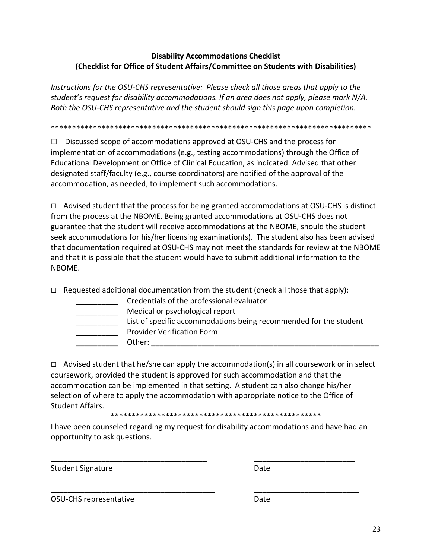#### **Disability Accommodations Checklist (Checklist for Office of Student Affairs/Committee on Students with Disabilities)**

*Instructions for the OSU-CHS representative: Please check all those areas that apply to the student's request for disability accommodations. If an area does not apply, please mark N/A. Both the OSU-CHS representative and the student should sign this page upon completion.* 

\*\*\*\*\*\*\*\*\*\*\*\*\*\*\*\*\*\*\*\*\*\*\*\*\*\*\*\*\*\*\*\*\*\*\*\*\*\*\*\*\*\*\*\*\*\*\*\*\*\*\*\*\*\*\*\*\*\*\*\*\*\*\*\*\*\*\*\*\*\*\*\*\*\*\*\*

**□** Discussed scope of accommodations approved at OSU-CHS and the process for implementation of accommodations (e.g., testing accommodations) through the Office of Educational Development or Office of Clinical Education, as indicated. Advised that other designated staff/faculty (e.g., course coordinators) are notified of the approval of the accommodation, as needed, to implement such accommodations.

**□** Advised student that the process for being granted accommodations at OSU-CHS is distinct from the process at the NBOME. Being granted accommodations at OSU-CHS does not guarantee that the student will receive accommodations at the NBOME, should the student seek accommodations for his/her licensing examination(s). The student also has been advised that documentation required at OSU-CHS may not meet the standards for review at the NBOME and that it is possible that the student would have to submit additional information to the NBOME.

 $\Box$  Requested additional documentation from the student (check all those that apply):

| Credentials of the professional evaluator                         |
|-------------------------------------------------------------------|
| Medical or psychological report                                   |
| List of specific accommodations being recommended for the student |
| <b>Provider Verification Form</b>                                 |
| Other:                                                            |

 $\Box$  Advised student that he/she can apply the accommodation(s) in all coursework or in select coursework, provided the student is approved for such accommodation and that the accommodation can be implemented in that setting. A student can also change his/her selection of where to apply the accommodation with appropriate notice to the Office of Student Affairs.

\*\*\*\*\*\*\*\*\*\*\*\*\*\*\*\*\*\*\*\*\*\*\*\*\*\*\*\*\*\*\*\*\*\*\*\*\*\*\*\*\*\*\*\*\*\*\*\*\*\*

I have been counseled regarding my request for disability accommodations and have had an opportunity to ask questions.

\_\_\_\_\_\_\_\_\_\_\_\_\_\_\_\_\_\_\_\_\_\_\_\_\_\_\_\_\_\_\_\_\_\_\_\_\_ \_\_\_\_\_\_\_\_\_\_\_\_\_\_\_\_\_\_\_\_\_\_\_\_

\_\_\_\_\_\_\_\_\_\_\_\_\_\_\_\_\_\_\_\_\_\_\_\_\_\_\_\_\_\_\_\_\_\_\_\_\_\_\_ \_\_\_\_\_\_\_\_\_\_\_\_\_\_\_\_\_\_\_\_\_\_\_\_\_

Student Signature Date Date

OSU-CHS representative Date